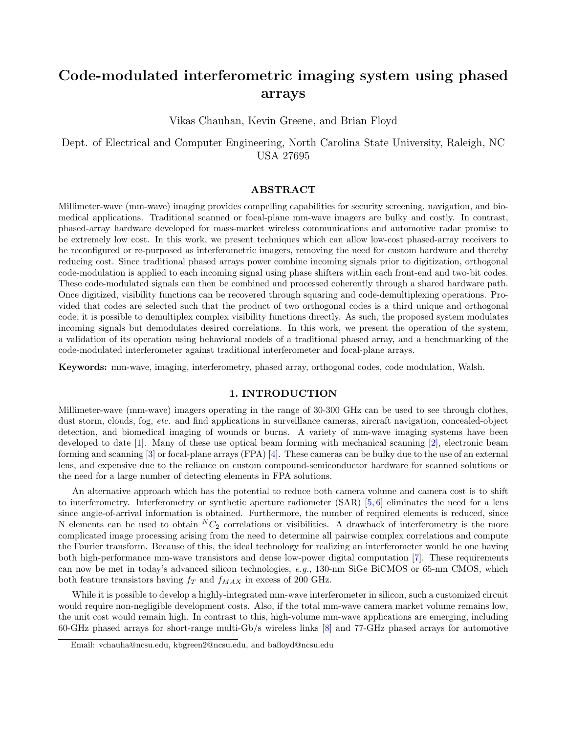# Code-modulated interferometric imaging system using phased arrays

Vikas Chauhan, Kevin Greene, and Brian Floyd

## Dept. of Electrical and Computer Engineering, North Carolina State University, Raleigh, NC USA 27695

#### ${\rm ABSTRACT}$

Millimeter-wave (mm-wave) imaging provides compelling capabilities for security screening, navigation, and biomedical applications. Traditional scanned or focal-plane mm-wave imagers are bulky and costly. In contrast, phased-array hardware developed for mass-market wireless communications and automotive radar promise to be extremely low cost. In this work, we present techniques which can allow low-cost phased-array receivers to be reconfigured or re-purposed as interferometric imagers, removing the need for custom hardware and thereby reducing cost. Since traditional phased arrays power combine incoming signals prior to digitization, orthogonal code-modulation is applied to each incoming signal using phase shifters within each front-end and two-bit codes. These code-modulated signals can then be combined and processed coherently through a shared hardware path. Once digitized, visibility functions can be recovered through squaring and code-demultiplexing operations. Provided that codes are selected such that the product of two orthogonal codes is a third unique and orthogonal code, it is possible to demultiplex complex visibility functions directly. As such, the proposed system modulates incoming signals but demodulates desired correlations. In this work, we present the operation of the system, a validation of its operation using behavioral models of a traditional phased array, and a benchmarking of the code-modulated interferometer against traditional interferometer and focal-plane arrays.

Keywords: mm-wave, imaging, interferometry, phased array, orthogonal codes, code modulation, Walsh.

#### 1. INTRODUCTION

Millimeter-wave (mm-wave) imagers operating in the range of 30-300 GHz can be used to see through clothes, dust storm, clouds, fog, etc. and find applications in surveillance cameras, aircraft navigation, concealed-object detection, and biomedical imaging of wounds or burns. A variety of mm-wave imaging systems have been developed to date [\[1\]](#page-7-0). Many of these use optical beam forming with mechanical scanning [\[2\]](#page-7-1), electronic beam forming and scanning [\[3\]](#page-7-2) or focal-plane arrays (FPA) [\[4\]](#page-7-3). These cameras can be bulky due to the use of an external lens, and expensive due to the reliance on custom compound-semiconductor hardware for scanned solutions or the need for a large number of detecting elements in FPA solutions.

An alternative approach which has the potential to reduce both camera volume and camera cost is to shift to interferometry. Interferometry or synthetic aperture radiometer (SAR) [\[5,](#page-7-4) [6\]](#page-7-5) eliminates the need for a lens since angle-of-arrival information is obtained. Furthermore, the number of required elements is reduced, since N elements can be used to obtain  ${}^NC_2$  correlations or visibilities. A drawback of interferometry is the more complicated image processing arising from the need to determine all pairwise complex correlations and compute the Fourier transform. Because of this, the ideal technology for realizing an interferometer would be one having both high-performance mm-wave transistors and dense low-power digital computation [\[7\]](#page-7-6). These requirements can now be met in today's advanced silicon technologies, e.g., 130-nm SiGe BiCMOS or 65-nm CMOS, which both feature transistors having  $f_T$  and  $f_{MAX}$  in excess of 200 GHz.

While it is possible to develop a highly-integrated mm-wave interferometer in silicon, such a customized circuit would require non-negligible development costs. Also, if the total mm-wave camera market volume remains low, the unit cost would remain high. In contrast to this, high-volume mm-wave applications are emerging, including 60-GHz phased arrays for short-range multi-Gb/s wireless links [\[8\]](#page-7-7) and 77-GHz phased arrays for automotive

Email: vchauha@ncsu.edu, kbgreen2@ncsu.edu, and bafloyd@ncsu.edu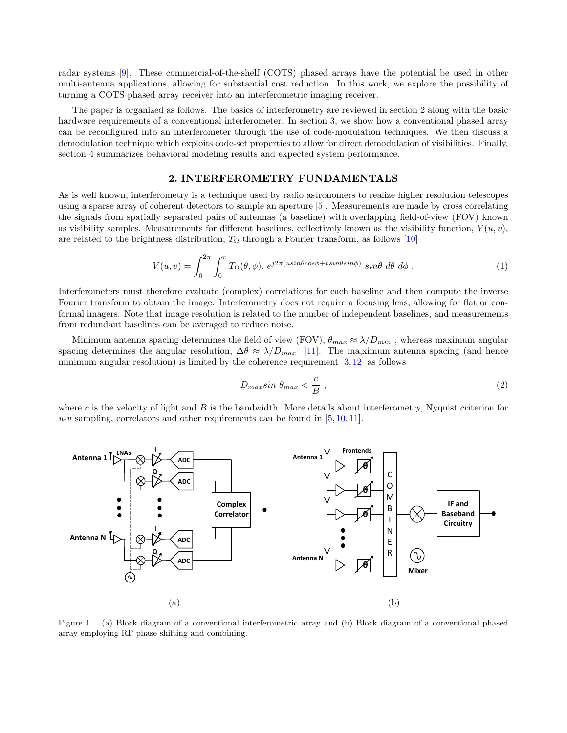radar systems [\[9\]](#page-7-8). These commercial-of-the-shelf (COTS) phased arrays have the potential be used in other multi-antenna applications, allowing for substantial cost reduction. In this work, we explore the possibility of turning a COTS phased array receiver into an interferometric imaging receiver.

The paper is organized as follows. The basics of interferometry are reviewed in section 2 along with the basic hardware requirements of a conventional interferometer. In section 3, we show how a conventional phased array can be reconfigured into an interferometer through the use of code-modulation techniques. We then discuss a demodulation technique which exploits code-set properties to allow for direct demodulation of visibilities. Finally, section 4 summarizes behavioral modeling results and expected system performance.

#### 2. INTERFEROMETRY FUNDAMENTALS

As is well known, interferometry is a technique used by radio astronomers to realize higher resolution telescopes using a sparse array of coherent detectors to sample an aperture [\[5\]](#page-7-4). Measurements are made by cross correlating the signals from spatially separated pairs of antennas (a baseline) with overlapping field-of-view (FOV) known as visibility samples. Measurements for different baselines, collectively known as the visibility function,  $V(u, v)$ , are related to the brightness distribution,  $T_{\Omega}$  through a Fourier transform, as follows [\[10\]](#page-7-9)

$$
V(u,v) = \int_0^{2\pi} \int_0^{\pi} T_{\Omega}(\theta,\phi) \cdot e^{j2\pi(using\cos\phi + vsin\theta\sin\phi)} \sin\theta \ d\theta \ d\phi \ . \tag{1}
$$

Interferometers must therefore evaluate (complex) correlations for each baseline and then compute the inverse Fourier transform to obtain the image. Interferometry does not require a focusing lens, allowing for flat or conformal imagers. Note that image resolution is related to the number of independent baselines, and measurements from redundant baselines can be averaged to reduce noise.

Minimum antenna spacing determines the field of view (FOV),  $\theta_{max} \approx \lambda/D_{min}$ , whereas maximum angular spacing determines the angular resolution,  $\Delta \theta \approx \lambda/D_{max}$  [\[11\]](#page-7-10). The ma,ximum antenna spacing (and hence minimum angular resolution) is limited by the coherence requirement  $[3, 12]$  $[3, 12]$  $[3, 12]$  as follows

$$
D_{max} \sin \theta_{max} < \frac{c}{B} \,,\tag{2}
$$

where c is the velocity of light and  $B$  is the bandwidth. More details about interferometry, Nyquist criterion for  $u-v$  sampling, correlators and other requirements can be found in [\[5,](#page-7-4) [10,](#page-7-9) [11\]](#page-7-10).



<span id="page-1-0"></span>Figure 1. (a) Block diagram of a conventional interferometric array and (b) Block diagram of a conventional phased array employing RF phase shifting and combining.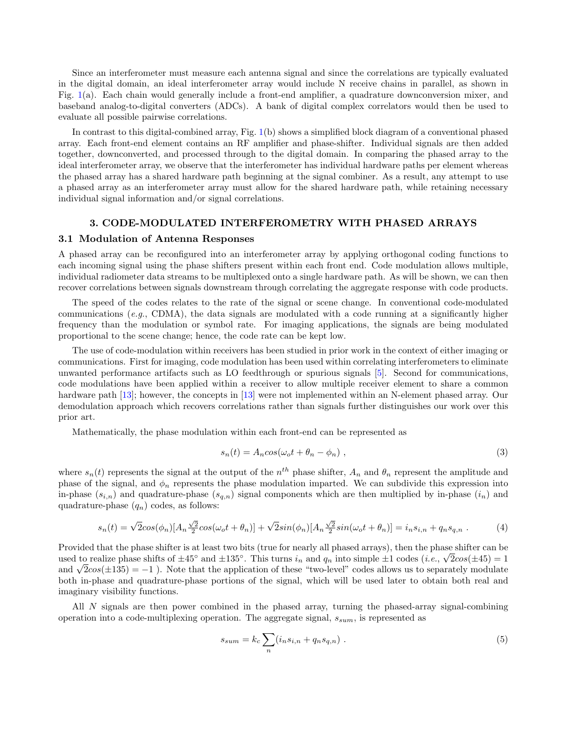Since an interferometer must measure each antenna signal and since the correlations are typically evaluated in the digital domain, an ideal interferometer array would include N receive chains in parallel, as shown in Fig. [1\(](#page-1-0)a). Each chain would generally include a front-end amplifier, a quadrature downconversion mixer, and baseband analog-to-digital converters (ADCs). A bank of digital complex correlators would then be used to evaluate all possible pairwise correlations.

In contrast to this digital-combined array, Fig. [1\(](#page-1-0)b) shows a simplified block diagram of a conventional phased array. Each front-end element contains an RF amplifier and phase-shifter. Individual signals are then added together, downconverted, and processed through to the digital domain. In comparing the phased array to the ideal interferometer array, we observe that the interferometer has individual hardware paths per element whereas the phased array has a shared hardware path beginning at the signal combiner. As a result, any attempt to use a phased array as an interferometer array must allow for the shared hardware path, while retaining necessary individual signal information and/or signal correlations.

#### 3. CODE-MODULATED INTERFEROMETRY WITH PHASED ARRAYS

#### 3.1 Modulation of Antenna Responses

A phased array can be reconfigured into an interferometer array by applying orthogonal coding functions to each incoming signal using the phase shifters present within each front end. Code modulation allows multiple, individual radiometer data streams to be multiplexed onto a single hardware path. As will be shown, we can then recover correlations between signals downstream through correlating the aggregate response with code products.

The speed of the codes relates to the rate of the signal or scene change. In conventional code-modulated communications (e.g., CDMA), the data signals are modulated with a code running at a significantly higher frequency than the modulation or symbol rate. For imaging applications, the signals are being modulated proportional to the scene change; hence, the code rate can be kept low.

The use of code-modulation within receivers has been studied in prior work in the context of either imaging or communications. First for imaging, code modulation has been used within correlating interferometers to eliminate unwanted performance artifacts such as LO feedthrough or spurious signals [\[5\]](#page-7-4). Second for communications, code modulations have been applied within a receiver to allow multiple receiver element to share a common hardware path [\[13\]](#page-7-12); however, the concepts in [13] were not implemented within an N-element phased array. Our demodulation approach which recovers correlations rather than signals further distinguishes our work over this prior art.

Mathematically, the phase modulation within each front-end can be represented as

$$
s_n(t) = A_n \cos(\omega_o t + \theta_n - \phi_n) \tag{3}
$$

where  $s_n(t)$  represents the signal at the output of the  $n^{th}$  phase shifter,  $A_n$  and  $\theta_n$  represent the amplitude and phase of the signal, and  $\phi_n$  represents the phase modulation imparted. We can subdivide this expression into in-phase  $(s_{i,n})$  and quadrature-phase  $(s_{q,n})$  signal components which are then multiplied by in-phase  $(i_n)$  and quadrature-phase  $(q_n)$  codes, as follows:

$$
s_n(t) = \sqrt{2}\cos(\phi_n)[A_n\frac{\sqrt{2}}{2}\cos(\omega_0 t + \theta_n)] + \sqrt{2}\sin(\phi_n)[A_n\frac{\sqrt{2}}{2}\sin(\omega_0 t + \theta_n)] = i_n s_{i,n} + q_n s_{q,n} .
$$
 (4)

Provided that the phase shifter is at least two bits (true for nearly all phased arrays), then the phase shifter can be used to realize phase shifts of  $\pm 45^{\circ}$  and  $\pm 135^{\circ}$ . This turns  $i_n$  and  $q_n$  into simple  $\pm 1$  codes  $(i.e., \sqrt{2}cos(\pm 45) = 1$ used to realize phase shifts of  $\pm 45^{\circ}$  and  $\pm 135^{\circ}$ . This turns  $i_n$  and  $q_n$  into simple  $\pm 1$  codes  $(i.e., \sqrt{2}cos(\pm 45)) = 1$ <br>and  $\sqrt{2}cos(\pm 135) = -1$ ). Note that the application of these "two-level" codes allows us both in-phase and quadrature-phase portions of the signal, which will be used later to obtain both real and imaginary visibility functions.

All N signals are then power combined in the phased array, turning the phased-array signal-combining operation into a code-multiplexing operation. The aggregate signal,  $s_{sum}$ , is represented as

$$
s_{sum} = k_c \sum_n (i_n s_{i,n} + q_n s_{q,n}) \tag{5}
$$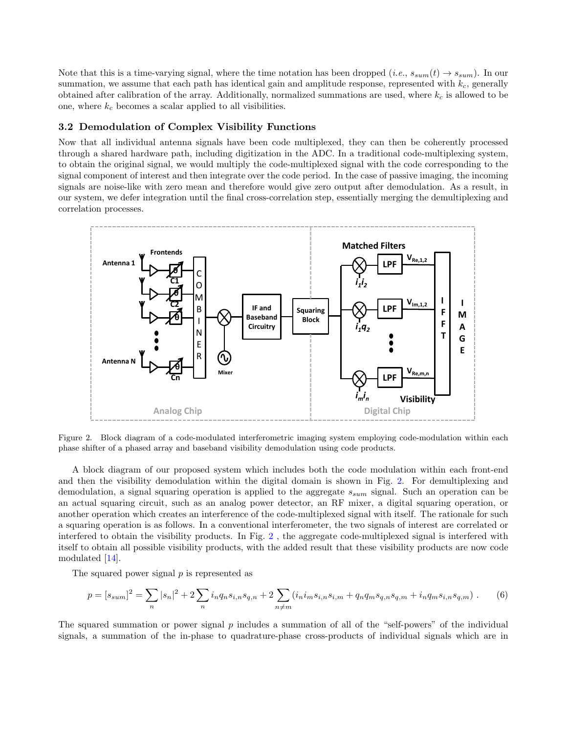Note that this is a time-varying signal, where the time notation has been dropped (*i.e.*,  $s_{sum}(t) \rightarrow s_{sum}$ ). In our summation, we assume that each path has identical gain and amplitude response, represented with  $k_c$ , generally obtained after calibration of the array. Additionally, normalized summations are used, where  $k_c$  is allowed to be one, where  $k_c$  becomes a scalar applied to all visibilities.

#### 3.2 Demodulation of Complex Visibility Functions

Now that all individual antenna signals have been code multiplexed, they can then be coherently processed through a shared hardware path, including digitization in the ADC. In a traditional code-multiplexing system, to obtain the original signal, we would multiply the code-multiplexed signal with the code corresponding to the signal component of interest and then integrate over the code period. In the case of passive imaging, the incoming signals are noise-like with zero mean and therefore would give zero output after demodulation. As a result, in our system, we defer integration until the final cross-correlation step, essentially merging the demultiplexing and correlation processes.



<span id="page-3-0"></span>Figure 2. Block diagram of a code-modulated interferometric imaging system employing code-modulation within each phase shifter of a phased array and baseband visibility demodulation using code products.

A block diagram of our proposed system which includes both the code modulation within each front-end and then the visibility demodulation within the digital domain is shown in Fig. [2.](#page-3-0) For demultiplexing and demodulation, a signal squaring operation is applied to the aggregate  $s_{sum}$  signal. Such an operation can be an actual squaring circuit, such as an analog power detector, an RF mixer, a digital squaring operation, or another operation which creates an interference of the code-multiplexed signal with itself. The rationale for such a squaring operation is as follows. In a conventional interferometer, the two signals of interest are correlated or interfered to obtain the visibility products. In Fig. [2](#page-3-0) , the aggregate code-multiplexed signal is interfered with itself to obtain all possible visibility products, with the added result that these visibility products are now code modulated [\[14\]](#page-7-13).

The squared power signal  $p$  is represented as

$$
p = [s_{sum}]^{2} = \sum_{n} |s_{n}|^{2} + 2 \sum_{n} i_{n} q_{n} s_{i,n} s_{q,n} + 2 \sum_{n \neq m} (i_{n} i_{m} s_{i,n} s_{i,m} + q_{n} q_{m} s_{q,n} s_{q,m} + i_{n} q_{m} s_{i,n} s_{q,m}).
$$
 (6)

The squared summation or power signal  $p$  includes a summation of all of the "self-powers" of the individual signals, a summation of the in-phase to quadrature-phase cross-products of individual signals which are in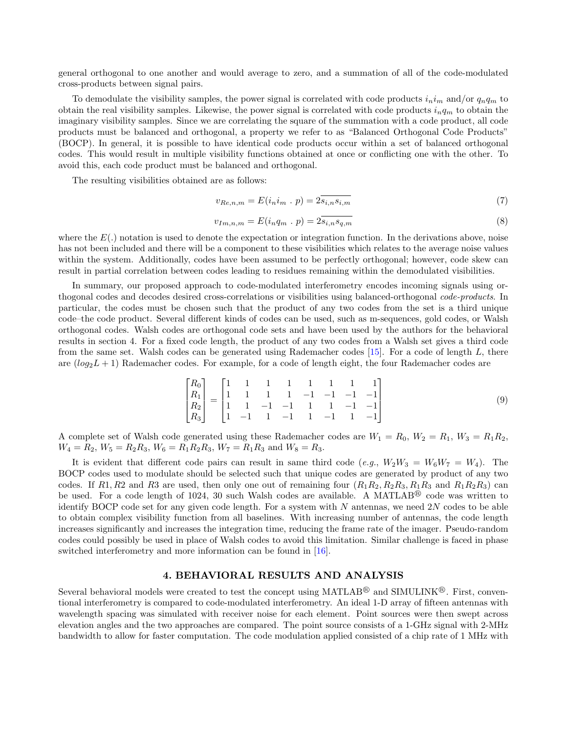general orthogonal to one another and would average to zero, and a summation of all of the code-modulated cross-products between signal pairs.

To demodulate the visibility samples, the power signal is correlated with code products  $i_n i_m$  and/or  $q_n q_m$  to obtain the real visibility samples. Likewise, the power signal is correlated with code products  $i_nq_m$  to obtain the imaginary visibility samples. Since we are correlating the square of the summation with a code product, all code products must be balanced and orthogonal, a property we refer to as "Balanced Orthogonal Code Products" (BOCP). In general, it is possible to have identical code products occur within a set of balanced orthogonal codes. This would result in multiple visibility functions obtained at once or conflicting one with the other. To avoid this, each code product must be balanced and orthogonal.

The resulting visibilities obtained are as follows:

$$
v_{Re,n,m} = E(i_n i_m \cdot p) = 2\overline{s_{i,n} s_{i,m}}\tag{7}
$$

$$
v_{Im,n,m} = E(i_n q_m \cdot p) = 2s_{i,n} s_{q,m} \tag{8}
$$

where the  $E(.)$  notation is used to denote the expectation or integration function. In the derivations above, noise has not been included and there will be a component to these visibilities which relates to the average noise values within the system. Additionally, codes have been assumed to be perfectly orthogonal; however, code skew can result in partial correlation between codes leading to residues remaining within the demodulated visibilities.

In summary, our proposed approach to code-modulated interferometry encodes incoming signals using orthogonal codes and decodes desired cross-correlations or visibilities using balanced-orthogonal *code-products*. In particular, the codes must be chosen such that the product of any two codes from the set is a third unique code–the code product. Several different kinds of codes can be used, such as m-sequences, gold codes, or Walsh orthogonal codes. Walsh codes are orthogonal code sets and have been used by the authors for the behavioral results in section 4. For a fixed code length, the product of any two codes from a Walsh set gives a third code from the same set. Walsh codes can be generated using Rademacher codes  $[15]$ . For a code of length L, there are  $(log_2L + 1)$  Rademacher codes. For example, for a code of length eight, the four Rademacher codes are

$$
\begin{bmatrix}\nR_0 \\
R_1 \\
R_2 \\
R_3\n\end{bmatrix} = \begin{bmatrix}\n1 & 1 & 1 & 1 & 1 & 1 & 1 & 1 \\
1 & 1 & 1 & 1 & -1 & -1 & -1 & -1 \\
1 & 1 & -1 & -1 & 1 & 1 & -1 & -1 \\
1 & -1 & 1 & -1 & 1 & -1 & 1 & -1\n\end{bmatrix}
$$
\n(9)

A complete set of Walsh code generated using these Rademacher codes are  $W_1 = R_0$ ,  $W_2 = R_1$ ,  $W_3 = R_1R_2$ ,  $W_4 = R_2$ ,  $W_5 = R_2R_3$ ,  $W_6 = R_1R_2R_3$ ,  $W_7 = R_1R_3$  and  $W_8 = R_3$ .

It is evident that different code pairs can result in same third code (e.g.,  $W_2W_3 = W_6W_7 = W_4$ ). The BOCP codes used to modulate should be selected such that unique codes are generated by product of any two codes. If R1, R2 and R3 are used, then only one out of remaining four  $(R_1R_2, R_2R_3, R_1R_3 \text{ and } R_1R_2R_3)$  can be used. For a code length of 1024, 30 such Walsh codes are available. A MATLAB<sup>®</sup> code was written to identify BOCP code set for any given code length. For a system with  $N$  antennas, we need  $2N$  codes to be able to obtain complex visibility function from all baselines. With increasing number of antennas, the code length increases significantly and increases the integration time, reducing the frame rate of the imager. Pseudo-random codes could possibly be used in place of Walsh codes to avoid this limitation. Similar challenge is faced in phase switched interferometry and more information can be found in [\[16\]](#page-7-15).

#### 4. BEHAVIORAL RESULTS AND ANALYSIS

Several behavioral models were created to test the concept using MATLAB<sup>®</sup> and SIMULINK<sup>®</sup>. First, conventional interferometry is compared to code-modulated interferometry. An ideal 1-D array of fifteen antennas with wavelength spacing was simulated with receiver noise for each element. Point sources were then swept across elevation angles and the two approaches are compared. The point source consists of a 1-GHz signal with 2-MHz bandwidth to allow for faster computation. The code modulation applied consisted of a chip rate of 1 MHz with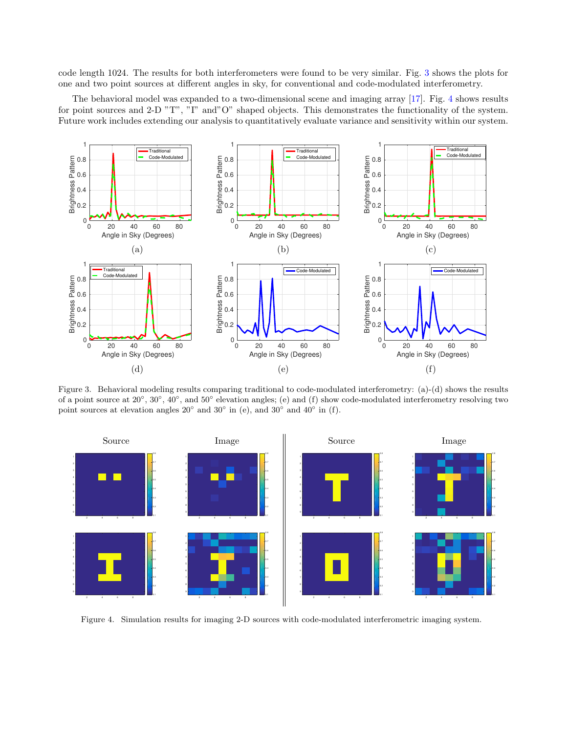code length 1024. The results for both interferometers were found to be very similar. Fig. [3](#page-5-0) shows the plots for one and two point sources at different angles in sky, for conventional and code-modulated interferometry.

The behavioral model was expanded to a two-dimensional scene and imaging array [\[17\]](#page-7-16). Fig. [4](#page-5-1) shows results for point sources and 2-D "T", "I" and"O" shaped objects. This demonstrates the functionality of the system. Future work includes extending our analysis to quantitatively evaluate variance and sensitivity within our system.



<span id="page-5-0"></span>Figure 3. Behavioral modeling results comparing traditional to code-modulated interferometry: (a)-(d) shows the results of a point source at  $20^\circ$ ,  $30^\circ$ ,  $40^\circ$ , and  $50^\circ$  elevation angles; (e) and (f) show code-modulated interferometry resolving two point sources at elevation angles 20<sup>°</sup> and 30<sup>°</sup> in (e), and 30<sup>°</sup> and 40<sup>°</sup> in (f).



<span id="page-5-1"></span>Figure 4. Simulation results for imaging 2-D sources with code-modulated interferometric imaging system.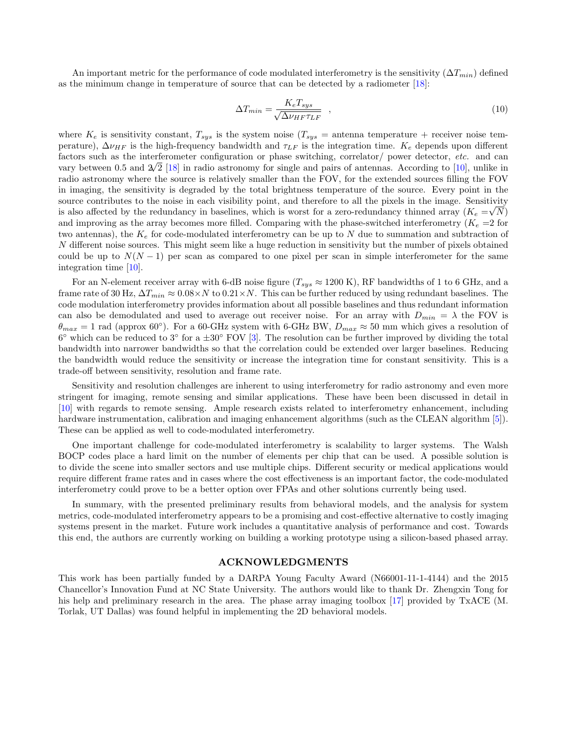An important metric for the performance of code modulated interferometry is the sensitivity  $(\Delta T_{min})$  defined as the minimum change in temperature of source that can be detected by a radiometer [\[18\]](#page-7-17):

$$
\Delta T_{min} = \frac{K_e T_{sys}}{\sqrt{\Delta \nu_{HFTLF}}} \quad , \tag{10}
$$

where  $K_e$  is sensitivity constant,  $T_{sys}$  is the system noise  $(T_{sys} = \text{antenna temperature} + \text{receiver noise term} - \text{const}$ perature),  $\Delta\nu_{HF}$  is the high-frequency bandwidth and  $\tau_{LF}$  is the integration time.  $K_e$  depends upon different factors such as the interferometer configuration or phase switching, correlator/ power detector, etc. and can ractors such as the interferometer connguration or phase switching, correlator/ power detector, *etc.* and can<br>vary between 0.5 and  $\sqrt{2}$  [\[18\]](#page-7-17) in radio astronomy for single and pairs of antennas. According to [\[10\]](#page-7-9), unli radio astronomy where the source is relatively smaller than the FOV, for the extended sources filling the FOV in imaging, the sensitivity is degraded by the total brightness temperature of the source. Every point in the source contributes to the noise in each visibility point, and therefore to all the pixels in the image. Sensitivity is also affected by the redundancy in baselines, which is worst for a zero-redundancy thinned array  $(K_e = \sqrt{N})$ and improving as the array becomes more filled. Comparing with the phase-switched interferometry ( $K_e = 2$  for two antennas), the  $K_e$  for code-modulated interferometry can be up to N due to summation and subtraction of N different noise sources. This might seem like a huge reduction in sensitivity but the number of pixels obtained could be up to  $N(N-1)$  per scan as compared to one pixel per scan in simple interferometer for the same integration time [\[10\]](#page-7-9).

For an N-element receiver array with 6-dB noise figure ( $T_{sys} \approx 1200$  K), RF bandwidths of 1 to 6 GHz, and a frame rate of 30 Hz,  $\Delta T_{min} \approx 0.08 \times N$  to  $0.21 \times N$ . This can be further reduced by using redundant baselines. The code modulation interferometry provides information about all possible baselines and thus redundant information can also be demodulated and used to average out receiver noise. For an array with  $D_{min} = \lambda$  the FOV is  $\theta_{max} = 1$  rad (approx 60<sup>°</sup>). For a 60-GHz system with 6-GHz BW,  $D_{max} \approx 50$  mm which gives a resolution of  $6°$  which can be reduced to  $3°$  for a  $\pm 30°$  FOV [\[3\]](#page-7-2). The resolution can be further improved by dividing the total bandwidth into narrower bandwidths so that the correlation could be extended over larger baselines. Reducing the bandwidth would reduce the sensitivity or increase the integration time for constant sensitivity. This is a trade-off between sensitivity, resolution and frame rate.

Sensitivity and resolution challenges are inherent to using interferometry for radio astronomy and even more stringent for imaging, remote sensing and similar applications. These have been been discussed in detail in [\[10\]](#page-7-9) with regards to remote sensing. Ample research exists related to interferometry enhancement, including hardware instrumentation, calibration and imaging enhancement algorithms (such as the CLEAN algorithm [\[5\]](#page-7-4)). These can be applied as well to code-modulated interferometry.

One important challenge for code-modulated interferometry is scalability to larger systems. The Walsh BOCP codes place a hard limit on the number of elements per chip that can be used. A possible solution is to divide the scene into smaller sectors and use multiple chips. Different security or medical applications would require different frame rates and in cases where the cost effectiveness is an important factor, the code-modulated interferometry could prove to be a better option over FPAs and other solutions currently being used.

In summary, with the presented preliminary results from behavioral models, and the analysis for system metrics, code-modulated interferometry appears to be a promising and cost-effective alternative to costly imaging systems present in the market. Future work includes a quantitative analysis of performance and cost. Towards this end, the authors are currently working on building a working prototype using a silicon-based phased array.

#### ACKNOWLEDGMENTS

This work has been partially funded by a DARPA Young Faculty Award (N66001-11-1-4144) and the 2015 Chancellor's Innovation Fund at NC State University. The authors would like to thank Dr. Zhengxin Tong for his help and preliminary research in the area. The phase array imaging toolbox [\[17\]](#page-7-16) provided by TxACE (M. Torlak, UT Dallas) was found helpful in implementing the 2D behavioral models.